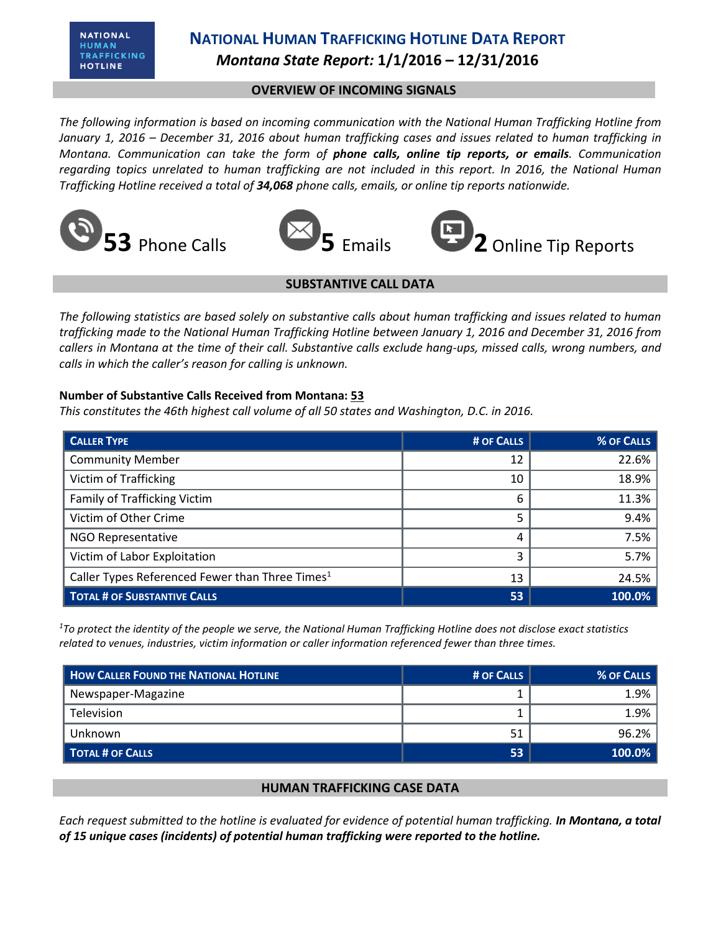# **NATIONAL HUMAN TRAFFICKING HOTLINE DATA REPORT** *Montana State Report:* **1/1/2016 – 12/31/2016**

### **OVERVIEW OF INCOMING SIGNALS**

*The following information is based on incoming communication with the National Human Trafficking Hotline from January 1, 2016 – December 31, 2016 about human trafficking cases and issues related to human trafficking in Montana. Communication can take the form of phone calls, online tip reports, or emails. Communication regarding topics unrelated to human trafficking are not included in this report. In 2016, the National Human Trafficking Hotline received a total of 34,068 phone calls, emails, or online tip reports nationwide.*







### **SUBSTANTIVE CALL DATA**

*The following statistics are based solely on substantive calls about human trafficking and issues related to human trafficking made to the National Human Trafficking Hotline between January 1, 2016 and December 31, 2016 from callers in Montana at the time of their call. Substantive calls exclude hang-ups, missed calls, wrong numbers, and calls in which the caller's reason for calling is unknown.*

#### **Number of Substantive Calls Received from Montana: 53**

*This constitutes the 46th highest call volume of all 50 states and Washington, D.C. in 2016.*

| <b>CALLER TYPE</b>                                          | # OF CALLS | % OF CALLS |
|-------------------------------------------------------------|------------|------------|
| <b>Community Member</b>                                     | 12         | 22.6%      |
| <b>Victim of Trafficking</b>                                | 10         | 18.9%      |
| Family of Trafficking Victim                                | 6          | 11.3%      |
| Victim of Other Crime                                       |            | 9.4%       |
| <b>NGO Representative</b>                                   | 4          | 7.5%       |
| Victim of Labor Exploitation                                | 3          | 5.7%       |
| Caller Types Referenced Fewer than Three Times <sup>1</sup> | 13         | 24.5%      |
| <b>TOTAL # OF SUBSTANTIVE CALLS</b>                         | 53         | 100.0%     |

*<sup>1</sup>To protect the identity of the people we serve, the National Human Trafficking Hotline does not disclose exact statistics related to venues, industries, victim information or caller information referenced fewer than three times.* 

| <b>HOW CALLER FOUND THE NATIONAL HOTLINE</b> | # OF CALLS | % OF CALLS |
|----------------------------------------------|------------|------------|
| Newspaper-Magazine                           |            | 1.9%       |
| <b>Television</b>                            |            | 1.9%       |
| Unknown                                      |            | 96.2%      |
| TOTAL # OF CALLS                             | 53         | 100.0%     |

## **HUMAN TRAFFICKING CASE DATA**

*Each request submitted to the hotline is evaluated for evidence of potential human trafficking. In Montana, a total of 15 unique cases (incidents) of potential human trafficking were reported to the hotline.*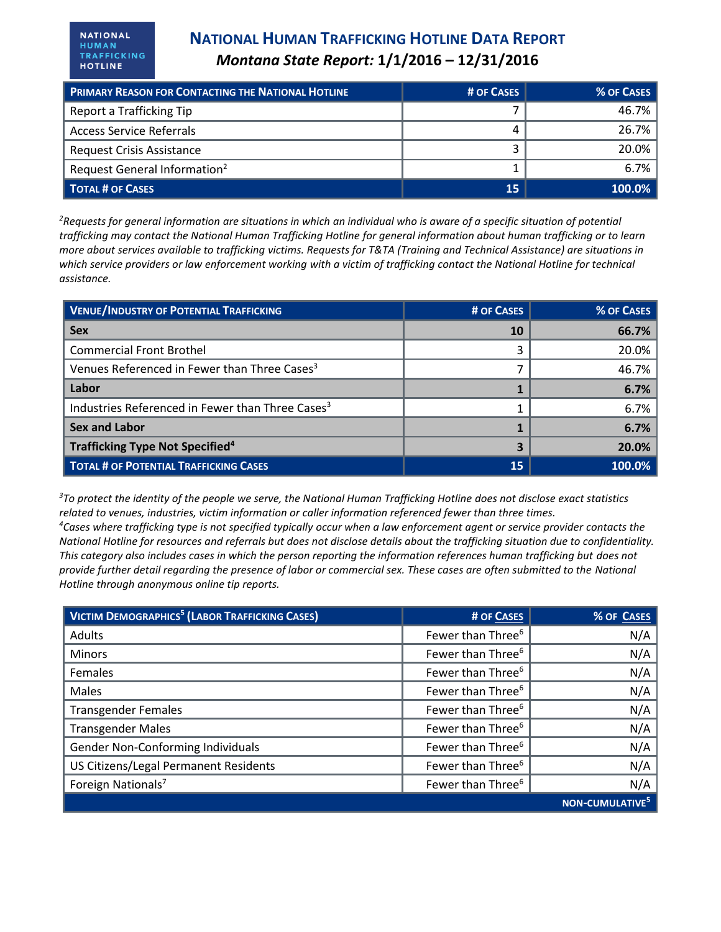**NATIONAL** HUMAN TRAFFICKING **HOTLINE** 

| <b>PRIMARY REASON FOR CONTACTING THE NATIONAL HOTLINE</b> | # OF CASES | % OF CASES |
|-----------------------------------------------------------|------------|------------|
| Report a Trafficking Tip                                  |            | 46.7%      |
| <b>Access Service Referrals</b>                           |            | 26.7%      |
| <b>Request Crisis Assistance</b>                          |            | 20.0%      |
| Request General Information <sup>2</sup>                  |            | $6.7\%$    |
| <b>TOTAL # OF CASES</b>                                   | 15         | $100.0\%$  |

*<sup>2</sup>Requests for general information are situations in which an individual who is aware of a specific situation of potential trafficking may contact the National Human Trafficking Hotline for general information about human trafficking or to learn more about services available to trafficking victims. Requests for T&TA (Training and Technical Assistance) are situations in which service providers or law enforcement working with a victim of trafficking contact the National Hotline for technical assistance.* 

| <b>VENUE/INDUSTRY OF POTENTIAL TRAFFICKING</b>               | # OF CASES | % OF CASES |
|--------------------------------------------------------------|------------|------------|
| <b>Sex</b>                                                   | <b>10</b>  | 66.7%      |
| <b>Commercial Front Brothel</b>                              |            | 20.0%      |
| Venues Referenced in Fewer than Three Cases <sup>3</sup>     |            | 46.7%      |
| Labor                                                        |            | 6.7%       |
| Industries Referenced in Fewer than Three Cases <sup>3</sup> |            | 6.7%       |
| <b>Sex and Labor</b>                                         |            | 6.7%       |
| Trafficking Type Not Specified <sup>4</sup>                  |            | 20.0%      |
| <b>TOTAL # OF POTENTIAL TRAFFICKING CASES</b>                | 15         | 100.0%     |

*<sup>3</sup>To protect the identity of the people we serve, the National Human Trafficking Hotline does not disclose exact statistics related to venues, industries, victim information or caller information referenced fewer than three times. <sup>4</sup>Cases where trafficking type is not specified typically occur when a law enforcement agent or service provider contacts the National Hotline for resources and referrals but does not disclose details about the trafficking situation due to confidentiality. This category also includes cases in which the person reporting the information references human trafficking but does not provide further detail regarding the presence of labor or commercial sex. These cases are often submitted to the National Hotline through anonymous online tip reports.*

| <b>VICTIM DEMOGRAPHICS<sup>5</sup></b> (LABOR TRAFFICKING CASES) | # OF CASES                    | % OF CASES       |
|------------------------------------------------------------------|-------------------------------|------------------|
| <b>Adults</b>                                                    | Fewer than Three <sup>6</sup> | N/A              |
| <b>Minors</b>                                                    | Fewer than Three <sup>6</sup> | N/A              |
| Females                                                          | Fewer than Three <sup>6</sup> | N/A              |
| Males                                                            | Fewer than Three <sup>6</sup> | N/A              |
| <b>Transgender Females</b>                                       | Fewer than Three <sup>6</sup> | N/A              |
| <b>Transgender Males</b>                                         | Fewer than Three <sup>6</sup> | N/A              |
| Gender Non-Conforming Individuals                                | Fewer than Three <sup>6</sup> | N/A              |
| US Citizens/Legal Permanent Residents                            | Fewer than Three <sup>6</sup> | N/A              |
| Foreign Nationals <sup>7</sup>                                   | Fewer than Three <sup>6</sup> | N/A              |
|                                                                  |                               | <b>NON-CUMUI</b> |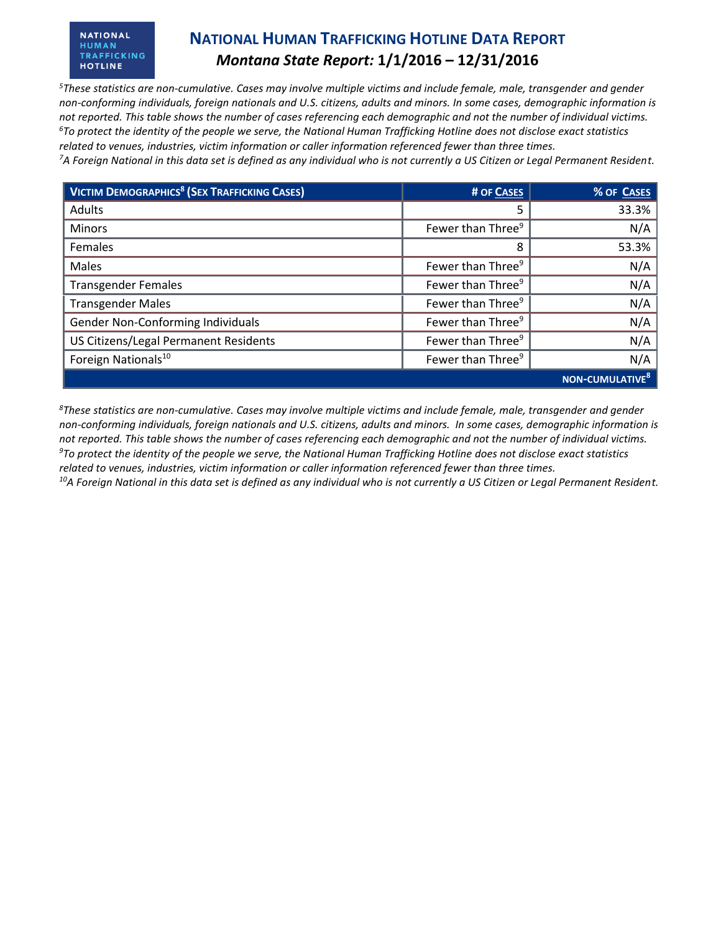#### **NATIONAL** HUMAN TRAFFICKING **HOTLINE**

## **NATIONAL HUMAN TRAFFICKING HOTLINE DATA REPORT** *Montana State Report:* **1/1/2016 – 12/31/2016**

*<sup>5</sup>These statistics are non-cumulative. Cases may involve multiple victims and include female, male, transgender and gender non-conforming individuals, foreign nationals and U.S. citizens, adults and minors. In some cases, demographic information is not reported. This table shows the number of cases referencing each demographic and not the number of individual victims. <sup>6</sup>To protect the identity of the people we serve, the National Human Trafficking Hotline does not disclose exact statistics related to venues, industries, victim information or caller information referenced fewer than three times.* 

*<sup>7</sup>A Foreign National in this data set is defined as any individual who is not currently a US Citizen or Legal Permanent Resident.* 

| <b>VICTIM DEMOGRAPHICS<sup>8</sup> (SEX TRAFFICKING CASES)</b> | # OF CASES                    | % OF CASES           |
|----------------------------------------------------------------|-------------------------------|----------------------|
| Adults                                                         | 5                             | 33.3%                |
| <b>Minors</b>                                                  | Fewer than Three <sup>9</sup> | N/A                  |
| Females                                                        | 8                             | 53.3%                |
| Males                                                          | Fewer than Three <sup>9</sup> | N/A                  |
| <b>Transgender Females</b>                                     | Fewer than Three <sup>9</sup> | N/A                  |
| <b>Transgender Males</b>                                       | Fewer than Three <sup>9</sup> | N/A                  |
| Gender Non-Conforming Individuals                              | Fewer than Three <sup>9</sup> | N/A                  |
| US Citizens/Legal Permanent Residents                          | Fewer than Three <sup>9</sup> | N/A                  |
| Foreign Nationals <sup>10</sup>                                | Fewer than Three <sup>9</sup> | N/A                  |
|                                                                |                               | <b>NON-CUMULATIV</b> |

*<sup>8</sup>These statistics are non-cumulative. Cases may involve multiple victims and include female, male, transgender and gender non-conforming individuals, foreign nationals and U.S. citizens, adults and minors. In some cases, demographic information is not reported. This table shows the number of cases referencing each demographic and not the number of individual victims. <sup>9</sup>To protect the identity of the people we serve, the National Human Trafficking Hotline does not disclose exact statistics related to venues, industries, victim information or caller information referenced fewer than three times.* 

*10A Foreign National in this data set is defined as any individual who is not currently a US Citizen or Legal Permanent Resident.*